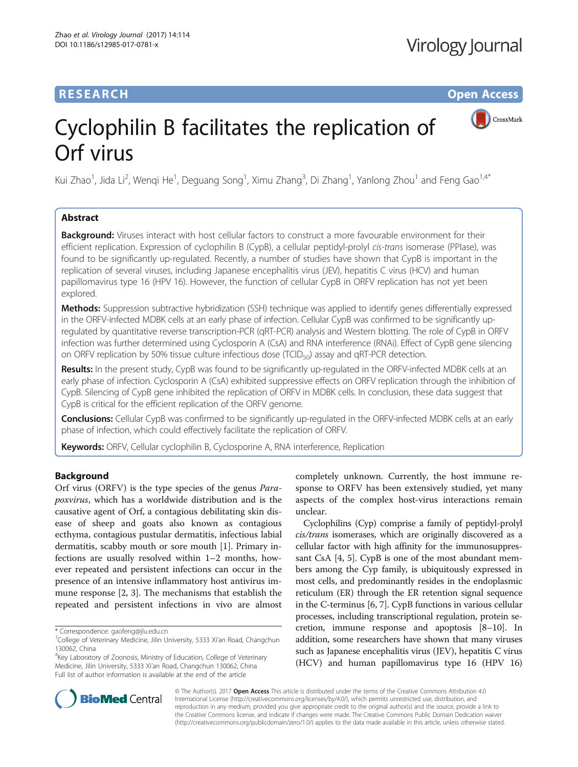# **RESEARCH CHE Open Access**



# Cyclophilin B facilitates the replication of Orf virus

Kui Zhao<sup>1</sup>, Jida Li<sup>2</sup>, Wenqi He<sup>1</sup>, Deguang Song<sup>1</sup>, Ximu Zhang<sup>3</sup>, Di Zhang<sup>1</sup>, Yanlong Zhou<sup>1</sup> and Feng Gao<sup>1,4\*</sup>

# Abstract

**Background:** Viruses interact with host cellular factors to construct a more favourable environment for their efficient replication. Expression of cyclophilin B (CypB), a cellular peptidyl-prolyl cis-trans isomerase (PPIase), was found to be significantly up-regulated. Recently, a number of studies have shown that CypB is important in the replication of several viruses, including Japanese encephalitis virus (JEV), hepatitis C virus (HCV) and human papillomavirus type 16 (HPV 16). However, the function of cellular CypB in ORFV replication has not yet been explored.

Methods: Suppression subtractive hybridization (SSH) technique was applied to identify genes differentially expressed in the ORFV-infected MDBK cells at an early phase of infection. Cellular CypB was confirmed to be significantly upregulated by quantitative reverse transcription-PCR (qRT-PCR) analysis and Western blotting. The role of CypB in ORFV infection was further determined using Cyclosporin A (CsA) and RNA interference (RNAi). Effect of CypB gene silencing on ORFV replication by 50% tissue culture infectious dose (TCID<sub>50</sub>) assay and qRT-PCR detection.

Results: In the present study, CypB was found to be significantly up-regulated in the ORFV-infected MDBK cells at an early phase of infection. Cyclosporin A (CsA) exhibited suppressive effects on ORFV replication through the inhibition of CypB. Silencing of CypB gene inhibited the replication of ORFV in MDBK cells. In conclusion, these data suggest that CypB is critical for the efficient replication of the ORFV genome.

Conclusions: Cellular CypB was confirmed to be significantly up-regulated in the ORFV-infected MDBK cells at an early phase of infection, which could effectively facilitate the replication of ORFV.

**Keywords:** ORFV, Cellular cyclophilin B, Cyclosporine A, RNA interference, Replication

# Background

Orf virus (ORFV) is the type species of the genus Parapoxvirus, which has a worldwide distribution and is the causative agent of Orf, a contagious debilitating skin disease of sheep and goats also known as contagious ecthyma, contagious pustular dermatitis, infectious labial dermatitis, scabby mouth or sore mouth [[1\]](#page-10-0). Primary infections are usually resolved within 1–2 months, however repeated and persistent infections can occur in the presence of an intensive inflammatory host antivirus immune response [[2, 3\]](#page-10-0). The mechanisms that establish the repeated and persistent infections in vivo are almost

<sup>4</sup>Key Laboratory of Zoonosis, Ministry of Education, College of Veterinary Medicine, Jilin University, 5333 Xi'an Road, Changchun 130062, China Full list of author information is available at the end of the article

completely unknown. Currently, the host immune response to ORFV has been extensively studied, yet many aspects of the complex host-virus interactions remain unclear.

Cyclophilins (Cyp) comprise a family of peptidyl-prolyl cis/trans isomerases, which are originally discovered as a cellular factor with high affinity for the immunosuppressant CsA [[4, 5\]](#page-10-0). CypB is one of the most abundant members among the Cyp family, is ubiquitously expressed in most cells, and predominantly resides in the endoplasmic reticulum (ER) through the ER retention signal sequence in the C-terminus [[6, 7](#page-10-0)]. CypB functions in various cellular processes, including transcriptional regulation, protein secretion, immune response and apoptosis [[8](#page-10-0)–[10](#page-10-0)]. In addition, some researchers have shown that many viruses such as Japanese encephalitis virus (JEV), hepatitis C virus (HCV) and human papillomavirus type 16 (HPV 16)



© The Author(s). 2017 **Open Access** This article is distributed under the terms of the Creative Commons Attribution 4.0 International License [\(http://creativecommons.org/licenses/by/4.0/](http://creativecommons.org/licenses/by/4.0/)), which permits unrestricted use, distribution, and reproduction in any medium, provided you give appropriate credit to the original author(s) and the source, provide a link to the Creative Commons license, and indicate if changes were made. The Creative Commons Public Domain Dedication waiver [\(http://creativecommons.org/publicdomain/zero/1.0/](http://creativecommons.org/publicdomain/zero/1.0/)) applies to the data made available in this article, unless otherwise stated.

<sup>\*</sup> Correspondence: [gaofeng@jlu.edu.cn](mailto:gaofeng@jlu.edu.cn) <sup>1</sup>

<sup>&</sup>lt;sup>1</sup>College of Veterinary Medicine, Jilin University, 5333 Xi'an Road, Changchun 130062, China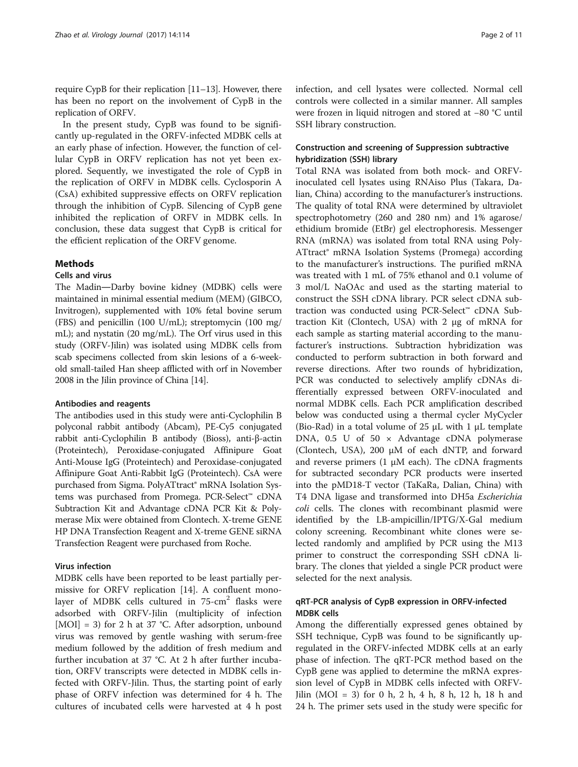require CypB for their replication [[11](#page-10-0)–[13\]](#page-10-0). However, there has been no report on the involvement of CypB in the replication of ORFV.

In the present study, CypB was found to be significantly up-regulated in the ORFV-infected MDBK cells at an early phase of infection. However, the function of cellular CypB in ORFV replication has not yet been explored. Sequently, we investigated the role of CypB in the replication of ORFV in MDBK cells. Cyclosporin A (CsA) exhibited suppressive effects on ORFV replication through the inhibition of CypB. Silencing of CypB gene inhibited the replication of ORFV in MDBK cells. In conclusion, these data suggest that CypB is critical for the efficient replication of the ORFV genome.

## Methods

## Cells and virus

The Madin―Darby bovine kidney (MDBK) cells were maintained in minimal essential medium (MEM) (GIBCO, Invitrogen), supplemented with 10% fetal bovine serum (FBS) and penicillin (100 U/mL); streptomycin (100 mg/ mL); and nystatin (20 mg/mL). The Orf virus used in this study (ORFV-Jilin) was isolated using MDBK cells from scab specimens collected from skin lesions of a 6-weekold small-tailed Han sheep afflicted with orf in November 2008 in the Jilin province of China [[14\]](#page-10-0).

#### Antibodies and reagents

The antibodies used in this study were anti-Cyclophilin B polyconal rabbit antibody (Abcam), PE-Cy5 conjugated rabbit anti-Cyclophilin B antibody (Bioss), anti-β-actin (Proteintech), Peroxidase-conjugated Affinipure Goat Anti-Mouse IgG (Proteintech) and Peroxidase-conjugated Affinipure Goat Anti-Rabbit IgG (Proteintech). CsA were purchased from Sigma. PolyATtract® mRNA Isolation Systems was purchased from Promega. PCR-Select™ cDNA Subtraction Kit and Advantage cDNA PCR Kit & Polymerase Mix were obtained from Clontech. X-treme GENE HP DNA Transfection Reagent and X-treme GENE siRNA Transfection Reagent were purchased from Roche.

#### Virus infection

MDBK cells have been reported to be least partially permissive for ORFV replication [[14\]](#page-10-0). A confluent monolayer of MDBK cells cultured in  $75$ -cm<sup>2</sup> flasks were adsorbed with ORFV-Jilin (multiplicity of infection  $[MOI] = 3$  for 2 h at 37 °C. After adsorption, unbound virus was removed by gentle washing with serum-free medium followed by the addition of fresh medium and further incubation at 37 °C. At 2 h after further incubation, ORFV transcripts were detected in MDBK cells infected with ORFV-Jilin. Thus, the starting point of early phase of ORFV infection was determined for 4 h. The cultures of incubated cells were harvested at 4 h post infection, and cell lysates were collected. Normal cell controls were collected in a similar manner. All samples were frozen in liquid nitrogen and stored at −80 °C until SSH library construction.

## Construction and screening of Suppression subtractive hybridization (SSH) library

Total RNA was isolated from both mock- and ORFVinoculated cell lysates using RNAiso Plus (Takara, Dalian, China) according to the manufacturer's instructions. The quality of total RNA were determined by ultraviolet spectrophotometry (260 and 280 nm) and 1% agarose/ ethidium bromide (EtBr) gel electrophoresis. Messenger RNA (mRNA) was isolated from total RNA using Poly-ATtract® mRNA Isolation Systems (Promega) according to the manufacturer's instructions. The purified mRNA was treated with 1 mL of 75% ethanol and 0.1 volume of 3 mol/L NaOAc and used as the starting material to construct the SSH cDNA library. PCR select cDNA subtraction was conducted using PCR-Select™ cDNA Subtraction Kit (Clontech, USA) with 2 μg of mRNA for each sample as starting material according to the manufacturer's instructions. Subtraction hybridization was conducted to perform subtraction in both forward and reverse directions. After two rounds of hybridization, PCR was conducted to selectively amplify cDNAs differentially expressed between ORFV-inoculated and normal MDBK cells. Each PCR amplification described below was conducted using a thermal cycler MyCycler (Bio-Rad) in a total volume of 25  $\mu$ L with 1  $\mu$ L template DNA, 0.5 U of 50 × Advantage cDNA polymerase (Clontech, USA), 200 μM of each dNTP, and forward and reverse primers  $(1 \mu M$  each). The cDNA fragments for subtracted secondary PCR products were inserted into the pMD18-T vector (TaKaRa, Dalian, China) with T4 DNA ligase and transformed into DH5a Escherichia coli cells. The clones with recombinant plasmid were identified by the LB-ampicillin/IPTG/X-Gal medium colony screening. Recombinant white clones were selected randomly and amplified by PCR using the M13 primer to construct the corresponding SSH cDNA library. The clones that yielded a single PCR product were selected for the next analysis.

## qRT-PCR analysis of CypB expression in ORFV-infected MDBK cells

Among the differentially expressed genes obtained by SSH technique, CypB was found to be significantly upregulated in the ORFV-infected MDBK cells at an early phase of infection. The qRT-PCR method based on the CypB gene was applied to determine the mRNA expression level of CypB in MDBK cells infected with ORFV-Jilin (MOI = 3) for 0 h, 2 h, 4 h, 8 h, 12 h, 18 h and 24 h. The primer sets used in the study were specific for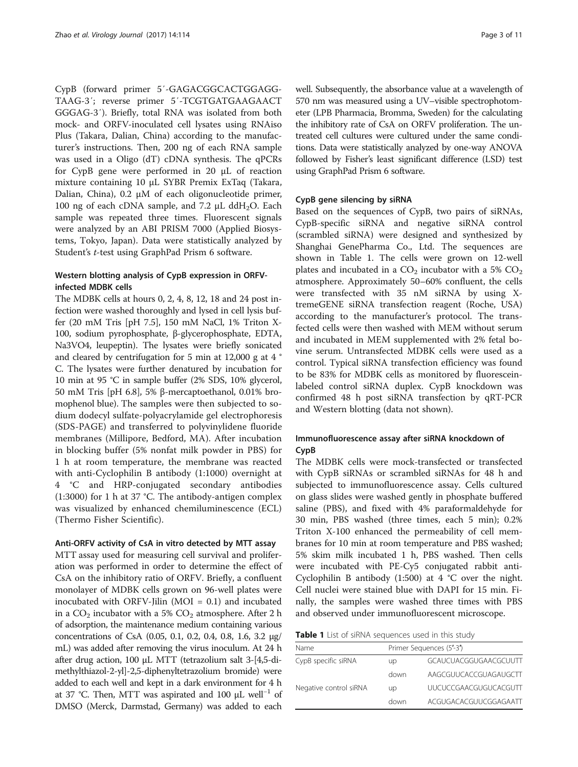CypB (forward primer 5′-GAGACGGCACTGGAGG-TAAG-3′; reverse primer 5′-TCGTGATGAAGAACT GGGAG-3′). Briefly, total RNA was isolated from both mock- and ORFV-inoculated cell lysates using RNAiso Plus (Takara, Dalian, China) according to the manufacturer's instructions. Then, 200 ng of each RNA sample was used in a Oligo (dT) cDNA synthesis. The qPCRs for CypB gene were performed in 20 μL of reaction mixture containing 10 μL SYBR Premix ExTaq (Takara, Dalian, China), 0.2 μM of each oligonucleotide primer, 100 ng of each cDNA sample, and 7.2 μL ddH<sub>2</sub>O. Each sample was repeated three times. Fluorescent signals were analyzed by an ABI PRISM 7000 (Applied Biosystems, Tokyo, Japan). Data were statistically analyzed by Student's t-test using GraphPad Prism 6 software.

## Western blotting analysis of CypB expression in ORFVinfected MDBK cells

The MDBK cells at hours 0, 2, 4, 8, 12, 18 and 24 post infection were washed thoroughly and lysed in cell lysis buffer (20 mM Tris [pH 7.5], 150 mM NaCl, 1% Triton X-100, sodium pyrophosphate, β-glycerophosphate, EDTA, Na3VO4, leupeptin). The lysates were briefly sonicated and cleared by centrifugation for 5 min at 12,000 g at 4 ° C. The lysates were further denatured by incubation for 10 min at 95 °C in sample buffer (2% SDS, 10% glycerol, 50 mM Tris [pH 6.8], 5% β-mercaptoethanol, 0.01% bromophenol blue). The samples were then subjected to sodium dodecyl sulfate-polyacrylamide gel electrophoresis (SDS-PAGE) and transferred to polyvinylidene fluoride membranes (Millipore, Bedford, MA). After incubation in blocking buffer (5% nonfat milk powder in PBS) for 1 h at room temperature, the membrane was reacted with anti-Cyclophilin B antibody (1:1000) overnight at 4 °C and HRP-conjugated secondary antibodies (1:3000) for 1 h at 37 °C. The antibody-antigen complex was visualized by enhanced chemiluminescence (ECL) (Thermo Fisher Scientific).

#### Anti-ORFV activity of CsA in vitro detected by MTT assay

MTT assay used for measuring cell survival and proliferation was performed in order to determine the effect of CsA on the inhibitory ratio of ORFV. Briefly, a confluent monolayer of MDBK cells grown on 96-well plates were inocubated with ORFV-Jilin (MOI = 0.1) and incubated in a  $CO_2$  incubator with a 5%  $CO_2$  atmosphere. After 2 h of adsorption, the maintenance medium containing various concentrations of CsA (0.05, 0.1, 0.2, 0.4, 0.8, 1.6, 3.2 μg/ mL) was added after removing the virus inoculum. At 24 h after drug action, 100 μL MTT (tetrazolium salt 3-[4,5-dimethylthiazol-2-yl]-2,5-diphenyltetrazolium bromide) were added to each well and kept in a dark environment for 4 h at 37 °C. Then, MTT was aspirated and 100  $\mu$ L well<sup>-1</sup> of DMSO (Merck, Darmstad, Germany) was added to each well. Subsequently, the absorbance value at a wavelength of 570 nm was measured using a UV–visible spectrophotometer (LPB Pharmacia, Bromma, Sweden) for the calculating the inhibitory rate of CsA on ORFV proliferation. The untreated cell cultures were cultured under the same conditions. Data were statistically analyzed by one-way ANOVA followed by Fisher's least significant difference (LSD) test using GraphPad Prism 6 software.

#### CypB gene silencing by siRNA

Based on the sequences of CypB, two pairs of siRNAs, CypB-specific siRNA and negative siRNA control (scrambled siRNA) were designed and synthesized by Shanghai GenePharma Co., Ltd. The sequences are shown in Table 1. The cells were grown on 12-well plates and incubated in a  $CO<sub>2</sub>$  incubator with a 5%  $CO<sub>2</sub>$ atmosphere. Approximately 50–60% confluent, the cells were transfected with 35 nM siRNA by using XtremeGENE siRNA transfection reagent (Roche, USA) according to the manufacturer's protocol. The transfected cells were then washed with MEM without serum and incubated in MEM supplemented with 2% fetal bovine serum. Untransfected MDBK cells were used as a control. Typical siRNA transfection efficiency was found to be 83% for MDBK cells as monitored by fluoresceinlabeled control siRNA duplex. CypB knockdown was confirmed 48 h post siRNA transfection by qRT-PCR and Western blotting (data not shown).

# Immunofluorescence assay after siRNA knockdown of CypB

The MDBK cells were mock-transfected or transfected with CypB siRNAs or scrambled siRNAs for 48 h and subjected to immunofluorescence assay. Cells cultured on glass slides were washed gently in phosphate buffered saline (PBS), and fixed with 4% paraformaldehyde for 30 min, PBS washed (three times, each 5 min); 0.2% Triton X-100 enhanced the permeability of cell membranes for 10 min at room temperature and PBS washed; 5% skim milk incubated 1 h, PBS washed. Then cells were incubated with PE-Cy5 conjugated rabbit anti-Cyclophilin B antibody (1:500) at 4 °C over the night. Cell nuclei were stained blue with DAPI for 15 min. Finally, the samples were washed three times with PBS and observed under immunofluorescent microscope.

**Table 1** List of siRNA sequences used in this study

| Name                   | Primer Sequences (5'-3') |                       |
|------------------------|--------------------------|-----------------------|
| CypB specific siRNA    | up                       | GCAUCUACGGUGAACGCUUTT |
|                        | down                     | AAGCGUUCACCGUAGAUGCTT |
| Negative control siRNA | up                       | UUCUCCGAACGUGUCACGUTT |
|                        | down                     | ACGUGACACGUUCGGAGAATT |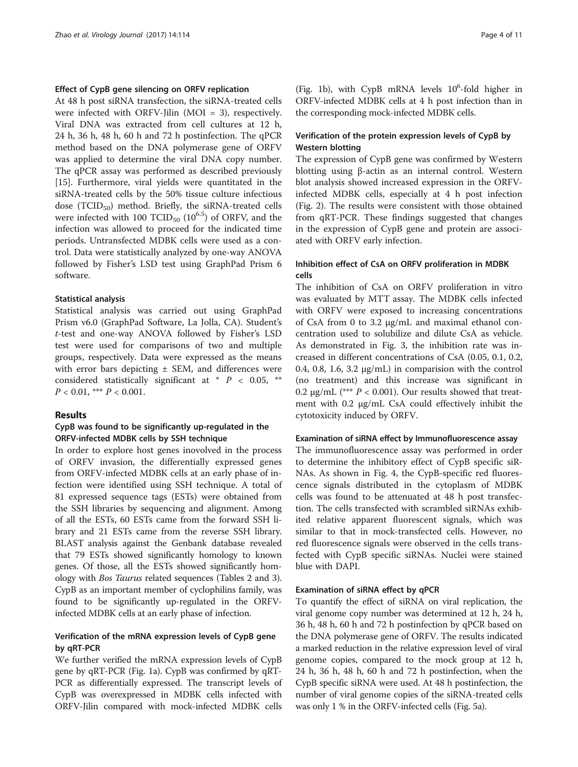#### Effect of CypB gene silencing on ORFV replication

At 48 h post siRNA transfection, the siRNA-treated cells were infected with ORFV-Jilin (MOI = 3), respectively. Viral DNA was extracted from cell cultures at 12 h, 24 h, 36 h, 48 h, 60 h and 72 h postinfection. The qPCR method based on the DNA polymerase gene of ORFV was applied to determine the viral DNA copy number. The qPCR assay was performed as described previously [[15\]](#page-10-0). Furthermore, viral yields were quantitated in the siRNA-treated cells by the 50% tissue culture infectious dose (TCID $_{50}$ ) method. Briefly, the siRNA-treated cells were infected with 100  $TCID_{50}$  (10<sup>6.5</sup>) of ORFV, and the infection was allowed to proceed for the indicated time periods. Untransfected MDBK cells were used as a control. Data were statistically analyzed by one-way ANOVA followed by Fisher's LSD test using GraphPad Prism 6 software.

#### Statistical analysis

Statistical analysis was carried out using GraphPad Prism v6.0 (GraphPad Software, La Jolla, CA). Student's t-test and one-way ANOVA followed by Fisher's LSD test were used for comparisons of two and multiple groups, respectively. Data were expressed as the means with error bars depicting  $\pm$  SEM, and differences were considered statistically significant at \*  $P$  < 0.05, \*\*  $P < 0.01$ , \*\*\*  $P < 0.001$ .

#### Results

## CypB was found to be significantly up-regulated in the ORFV-infected MDBK cells by SSH technique

In order to explore host genes inovolved in the process of ORFV invasion, the differentially expressed genes from ORFV-infected MDBK cells at an early phase of infection were identified using SSH technique. A total of 81 expressed sequence tags (ESTs) were obtained from the SSH libraries by sequencing and alignment. Among of all the ESTs, 60 ESTs came from the forward SSH library and 21 ESTs came from the reverse SSH library. BLAST analysis against the Genbank database revealed that 79 ESTs showed significantly homology to known genes. Of those, all the ESTs showed significantly homology with Bos Taurus related sequences (Tables [2](#page-4-0) and [3](#page-6-0)). CypB as an important member of cyclophilins family, was found to be significantly up-regulated in the ORFVinfected MDBK cells at an early phase of infection.

## Verification of the mRNA expression levels of CypB gene by qRT-PCR

We further verified the mRNA expression levels of CypB gene by qRT-PCR (Fig. [1a](#page-7-0)). CypB was confirmed by qRT-PCR as differentially expressed. The transcript levels of CypB was overexpressed in MDBK cells infected with ORFV-Jilin compared with mock-infected MDBK cells (Fig. [1b\)](#page-7-0), with CypB mRNA levels  $10^6$ -fold higher in ORFV-infected MDBK cells at 4 h post infection than in the corresponding mock-infected MDBK cells.

# Verification of the protein expression levels of CypB by Western blotting

The expression of CypB gene was confirmed by Western blotting using β-actin as an internal control. Western blot analysis showed increased expression in the ORFVinfected MDBK cells, especially at 4 h post infection (Fig. [2\)](#page-7-0). The results were consistent with those obtained from qRT-PCR. These findings suggested that changes in the expression of CypB gene and protein are associated with ORFV early infection.

# Inhibition effect of CsA on ORFV proliferation in MDBK cells

The inhibition of CsA on ORFV proliferation in vitro was evaluated by MTT assay. The MDBK cells infected with ORFV were exposed to increasing concentrations of CsA from 0 to 3.2 μg/mL and maximal ethanol concentration used to solubilize and dilute CsA as vehicle. As demonstrated in Fig. [3,](#page-8-0) the inhibition rate was increased in different concentrations of CsA (0.05, 0.1, 0.2, 0.4, 0.8, 1.6, 3.2 μg/mL) in comparision with the control (no treatment) and this increase was significant in 0.2 μg/mL (\*\*\*  $P < 0.001$ ). Our results showed that treatment with 0.2 μg/mL CsA could effectively inhibit the cytotoxicity induced by ORFV.

#### Examination of siRNA effect by Immunofluorescence assay

The immunofluorescence assay was performed in order to determine the inhibitory effect of CypB specific siR-NAs. As shown in Fig. [4](#page-8-0), the CypB-specific red fluorescence signals distributed in the cytoplasm of MDBK cells was found to be attenuated at 48 h post transfection. The cells transfected with scrambled siRNAs exhibited relative apparent fluorescent signals, which was similar to that in mock-transfected cells. However, no red fluorescence signals were observed in the cells transfected with CypB specific siRNAs. Nuclei were stained blue with DAPI.

#### Examination of siRNA effect by qPCR

To quantify the effect of siRNA on viral replication, the viral genome copy number was determined at 12 h, 24 h, 36 h, 48 h, 60 h and 72 h postinfection by qPCR based on the DNA polymerase gene of ORFV. The results indicated a marked reduction in the relative expression level of viral genome copies, compared to the mock group at 12 h, 24 h, 36 h, 48 h, 60 h and 72 h postinfection, when the CypB specific siRNA were used. At 48 h postinfection, the number of viral genome copies of the siRNA-treated cells was only 1 % in the ORFV-infected cells (Fig. [5a\)](#page-9-0).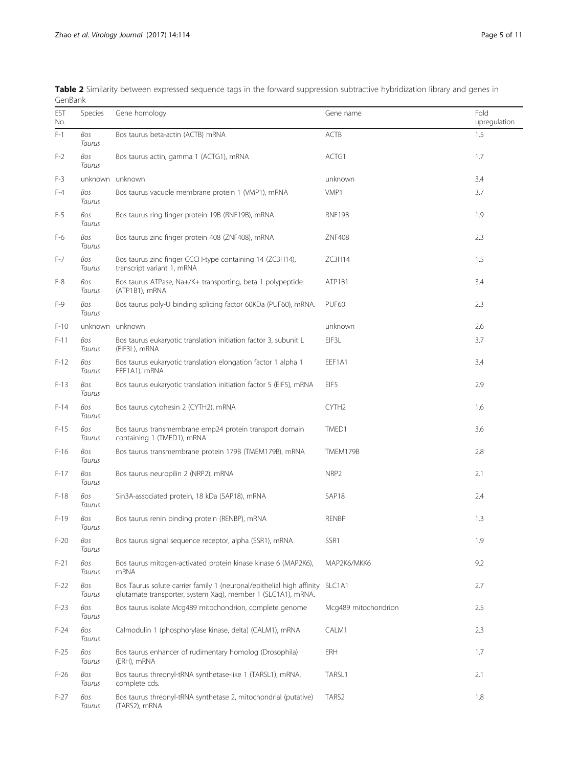| <b>EST</b><br>No. | Species       | Gene homology                                                                                                                                | Gene name            | Fold<br>upregulation |
|-------------------|---------------|----------------------------------------------------------------------------------------------------------------------------------------------|----------------------|----------------------|
| $F-1$             | Bos<br>Taurus | Bos taurus beta-actin (ACTB) mRNA                                                                                                            | <b>ACTB</b>          | 1.5                  |
| $F-2$             | Bos<br>Taurus | Bos taurus actin, gamma 1 (ACTG1), mRNA                                                                                                      | ACTG1                | 1.7                  |
| $F-3$             |               | unknown unknown                                                                                                                              | unknown              | 3.4                  |
| $F-4$             | Bos<br>Taurus | Bos taurus vacuole membrane protein 1 (VMP1), mRNA                                                                                           | VMP1                 | 3.7                  |
| $F-5$             | Bos<br>Taurus | Bos taurus ring finger protein 19B (RNF19B), mRNA                                                                                            | RNF19B               | 1.9                  |
| F-6               | Bos<br>Taurus | Bos taurus zinc finger protein 408 (ZNF408), mRNA                                                                                            | <b>ZNF408</b>        | 2.3                  |
| F-7               | Bos<br>Taurus | Bos taurus zinc finger CCCH-type containing 14 (ZC3H14),<br>transcript variant 1, mRNA                                                       | ZC3H14               | 1.5                  |
| F-8               | Bos<br>Taurus | Bos taurus ATPase, Na+/K+ transporting, beta 1 polypeptide<br>(ATP1B1), mRNA.                                                                | ATP1B1               | 3.4                  |
| F-9               | Bos<br>Taurus | Bos taurus poly-U binding splicing factor 60KDa (PUF60), mRNA.                                                                               | <b>PUF60</b>         | 2.3                  |
| F-10              |               | unknown unknown                                                                                                                              | unknown              | 2.6                  |
| F-11              | Bos<br>Taurus | Bos taurus eukaryotic translation initiation factor 3, subunit L<br>(EIF3L), mRNA                                                            | EIF3L                | 3.7                  |
| F-12              | Bos<br>Taurus | Bos taurus eukaryotic translation elongation factor 1 alpha 1<br>EEF1A1), mRNA                                                               | EEF1A1               | 3.4                  |
| F-13              | Bos<br>Taurus | Bos taurus eukaryotic translation initiation factor 5 (EIF5), mRNA                                                                           | EIF <sub>5</sub>     | 2.9                  |
| $F-14$            | Bos<br>Taurus | Bos taurus cytohesin 2 (CYTH2), mRNA                                                                                                         | CYTH <sub>2</sub>    | 1.6                  |
| $F-15$            | Bos<br>Taurus | Bos taurus transmembrane emp24 protein transport domain<br>containing 1 (TMED1), mRNA                                                        | TMED1                | 3.6                  |
| F-16              | Bos<br>Taurus | Bos taurus transmembrane protein 179B (TMEM179B), mRNA                                                                                       | TMEM179B             | 2.8                  |
| F-17              | Bos<br>Taurus | Bos taurus neuropilin 2 (NRP2), mRNA                                                                                                         | NRP <sub>2</sub>     | 2.1                  |
| F-18              | Bos<br>Taurus | Sin3A-associated protein, 18 kDa (SAP18), mRNA                                                                                               | SAP <sub>18</sub>    | 2.4                  |
| F-19              | Bos<br>Taurus | Bos taurus renin binding protein (RENBP), mRNA                                                                                               | <b>RENBP</b>         | 1.3                  |
| F-20              | Bos<br>Taurus | Bos taurus signal sequence receptor, alpha (SSR1), mRNA                                                                                      | SSR1                 | 1.9                  |
| $F-21$            | Bos<br>Taurus | Bos taurus mitogen-activated protein kinase kinase 6 (MAP2K6),<br>mRNA                                                                       | MAP2K6/MKK6          | 9.2                  |
| F-22              | Bos<br>Taurus | Bos Taurus solute carrier family 1 (neuronal/epithelial high affinity SLC1A1<br>glutamate transporter, system Xag), member 1 (SLC1A1), mRNA. |                      | 2.7                  |
| F-23              | Bos<br>Taurus | Bos taurus isolate Mcg489 mitochondrion, complete genome                                                                                     | Mcg489 mitochondrion | 2.5                  |
| F-24              | Bos<br>Taurus | Calmodulin 1 (phosphorylase kinase, delta) (CALM1), mRNA                                                                                     | CALM1                | 2.3                  |
| F-25              | Bos<br>Taurus | Bos taurus enhancer of rudimentary homolog (Drosophila)<br>(ERH), mRNA                                                                       | ERH                  | 1.7                  |
| $F-26$            | Bos<br>Taurus | Bos taurus threonyl-tRNA synthetase-like 1 (TARSL1), mRNA,<br>complete cds.                                                                  | TARSL1               | 2.1                  |
| F-27              | Bos<br>Taurus | Bos taurus threonyl-tRNA synthetase 2, mitochondrial (putative)<br>(TARS2), mRNA                                                             | TARS <sub>2</sub>    | 1.8                  |

<span id="page-4-0"></span>Table 2 Similarity between expressed sequence tags in the forward suppression subtractive hybridization library and genes in GenBank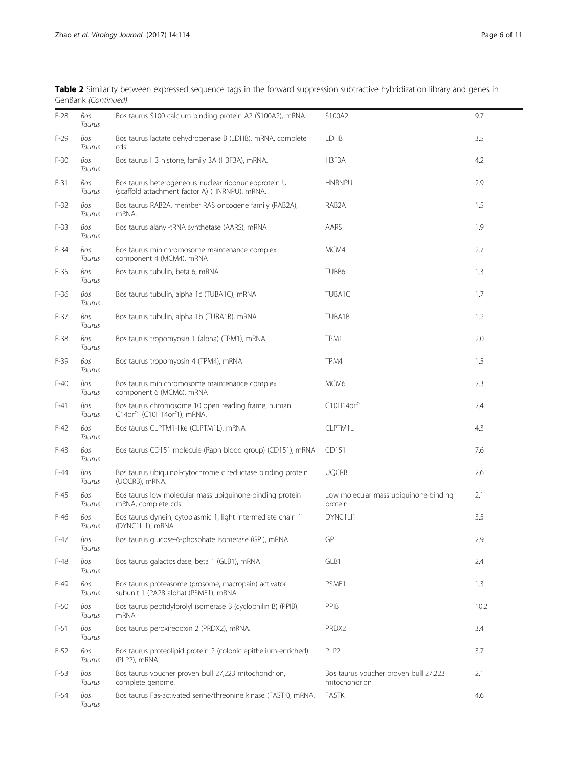| $F-28$ | Bos<br>Taurus | Bos taurus S100 calcium binding protein A2 (S100A2), mRNA                                              | S100A2                                                 | 9.7  |
|--------|---------------|--------------------------------------------------------------------------------------------------------|--------------------------------------------------------|------|
| $F-29$ | Bos<br>Taurus | Bos taurus lactate dehydrogenase B (LDHB), mRNA, complete<br>cds.                                      | LDHB                                                   | 3.5  |
| $F-30$ | Bos<br>Taurus | Bos taurus H3 histone, family 3A (H3F3A), mRNA.                                                        | H3F3A                                                  | 4.2  |
| $F-31$ | Bos<br>Taurus | Bos taurus heterogeneous nuclear ribonucleoprotein U<br>(scaffold attachment factor A) (HNRNPU), mRNA. | <b>HNRNPU</b>                                          | 2.9  |
| $F-32$ | Bos<br>Taurus | Bos taurus RAB2A, member RAS oncogene family (RAB2A),<br>mRNA.                                         | RAB <sub>2</sub> A                                     | 1.5  |
| F-33   | Bos<br>Taurus | Bos taurus alanyl-tRNA synthetase (AARS), mRNA                                                         | AARS                                                   | 1.9  |
| $F-34$ | Bos<br>Taurus | Bos taurus minichromosome maintenance complex<br>component 4 (MCM4), mRNA                              | MCM4                                                   | 2.7  |
| $F-35$ | Bos<br>Taurus | Bos taurus tubulin, beta 6, mRNA                                                                       | TUBB6                                                  | 1.3  |
| $F-36$ | Bos<br>Taurus | Bos taurus tubulin, alpha 1c (TUBA1C), mRNA                                                            | TUBA1C                                                 | 1.7  |
| $F-37$ | Bos<br>Taurus | Bos taurus tubulin, alpha 1b (TUBA1B), mRNA                                                            | TUBA1B                                                 | 1.2  |
| $F-38$ | Bos<br>Taurus | Bos taurus tropomyosin 1 (alpha) (TPM1), mRNA                                                          | TPM1                                                   | 2.0  |
| F-39   | Bos<br>Taurus | Bos taurus tropomyosin 4 (TPM4), mRNA                                                                  | TPM4                                                   | 1.5  |
| $F-40$ | Bos<br>Taurus | Bos taurus minichromosome maintenance complex<br>component 6 (MCM6), mRNA                              | MCM <sub>6</sub>                                       | 2.3  |
| $F-41$ | Bos<br>Taurus | Bos taurus chromosome 10 open reading frame, human<br>C14orf1 (C10H14orf1), mRNA.                      | C10H14orf1                                             | 2.4  |
| $F-42$ | Bos<br>Taurus | Bos taurus CLPTM1-like (CLPTM1L), mRNA                                                                 | CLPTM1L                                                | 4.3  |
| $F-43$ | Bos<br>Taurus | Bos taurus CD151 molecule (Raph blood group) (CD151), mRNA                                             | CD151                                                  | 7.6  |
| $F-44$ | Bos<br>Taurus | Bos taurus ubiquinol-cytochrome c reductase binding protein<br>(UQCRB), mRNA.                          | <b>UQCRB</b>                                           | 2.6  |
| F-45   | Bos<br>Taurus | Bos taurus low molecular mass ubiquinone-binding protein<br>mRNA, complete cds.                        | Low molecular mass ubiquinone-binding<br>protein       | 2.1  |
| $F-46$ | Bos<br>Taurus | Bos taurus dynein, cytoplasmic 1, light intermediate chain 1<br>(DYNC1LI1), mRNA                       | DYNC1LI1                                               | 3.5  |
| F-47   | Bos<br>Taurus | Bos taurus glucose-6-phosphate isomerase (GPI), mRNA                                                   | GPI                                                    | 2.9  |
| F-48   | Bos<br>Taurus | Bos taurus galactosidase, beta 1 (GLB1), mRNA                                                          | GLB1                                                   | 2.4  |
| $F-49$ | Bos<br>Taurus | Bos taurus proteasome (prosome, macropain) activator<br>subunit 1 (PA28 alpha) (PSME1), mRNA.          | PSME1                                                  | 1.3  |
| $F-50$ | Bos<br>Taurus | Bos taurus peptidylprolyl isomerase B (cyclophilin B) (PPIB),<br>mRNA                                  | PPIB                                                   | 10.2 |
| F-51   | Bos<br>Taurus | Bos taurus peroxiredoxin 2 (PRDX2), mRNA.                                                              | PRDX2                                                  | 3.4  |
| $F-52$ | Bos<br>Taurus | Bos taurus proteolipid protein 2 (colonic epithelium-enriched)<br>(PLP2), mRNA.                        | PLP <sub>2</sub>                                       | 3.7  |
| $F-53$ | Bos<br>Taurus | Bos taurus voucher proven bull 27,223 mitochondrion,<br>complete genome.                               | Bos taurus voucher proven bull 27,223<br>mitochondrion | 2.1  |
| $F-54$ | Bos<br>Taurus | Bos taurus Fas-activated serine/threonine kinase (FASTK), mRNA.                                        | <b>FASTK</b>                                           | 4.6  |

Table 2 Similarity between expressed sequence tags in the forward suppression subtractive hybridization library and genes in GenBank (Continued)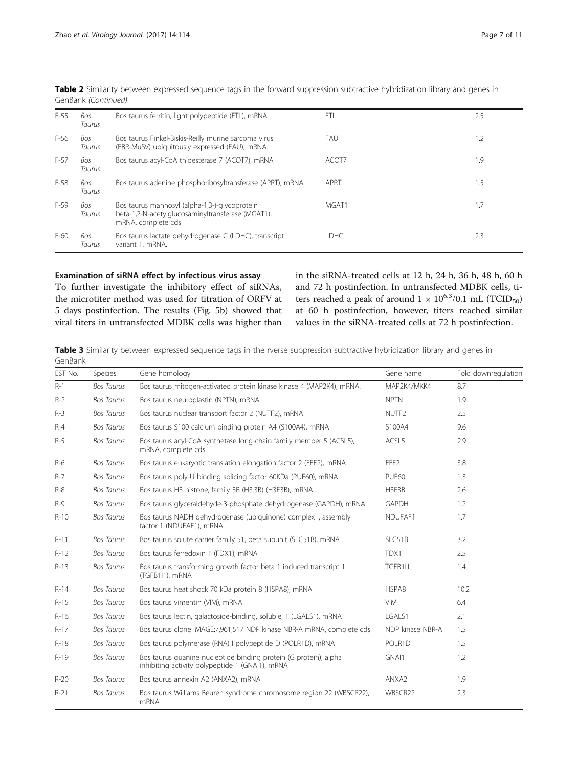| $F-55$ | Bos<br>Taurus        | Bos taurus ferritin, light polypeptide (FTL), mRNA                                                                       | FTL   | 2.5 |
|--------|----------------------|--------------------------------------------------------------------------------------------------------------------------|-------|-----|
| F-56   | Bos<br>Taurus        | Bos taurus Finkel-Biskis-Reilly murine sarcoma virus<br>(FBR-MuSV) ubiquitously expressed (FAU), mRNA.                   | FAU   | 1.2 |
| $F-57$ | Bos<br>Taurus        | Bos taurus acyl-CoA thioesterase 7 (ACOT7), mRNA                                                                         | ACOT7 | 1.9 |
| F-58   | Bos<br>Taurus        | Bos taurus adenine phosphoribosyltransferase (APRT), mRNA                                                                | APRT  | 1.5 |
| F-59   | Bos<br>Taurus        | Bos taurus mannosyl (alpha-1,3-)-glycoprotein<br>beta-1,2-N-acetylglucosaminyltransferase (MGAT1),<br>mRNA, complete cds | MGAT1 | 1.7 |
| $F-60$ | <b>Bos</b><br>Taurus | Bos taurus lactate dehydrogenase C (LDHC), transcript<br>variant 1, mRNA.                                                | I DHC | 2.3 |

<span id="page-6-0"></span>Table 2 Similarity between expressed sequence tags in the forward suppression subtractive hybridization library and genes in GenBank (Continued)

#### Examination of siRNA effect by infectious virus assay

To further investigate the inhibitory effect of siRNAs, the microtiter method was used for titration of ORFV at 5 days postinfection. The results (Fig. [5b\)](#page-9-0) showed that viral titers in untransfected MDBK cells was higher than

in the siRNA-treated cells at 12 h, 24 h, 36 h, 48 h, 60 h and 72 h postinfection. In untransfected MDBK cells, titers reached a peak of around  $1 \times 10^{6.3} / 0.1$  mL (TCID<sub>50</sub>) at 60 h postinfection, however, titers reached similar values in the siRNA-treated cells at 72 h postinfection.

Table 3 Similarity between expressed sequence tags in the rverse suppression subtractive hybridization library and genes in GenBank

| EST No.  | Species           | Gene homology                                                                                                       | Gene name         | Fold downregulation |
|----------|-------------------|---------------------------------------------------------------------------------------------------------------------|-------------------|---------------------|
| $R-1$    | <b>Bos Taurus</b> | Bos taurus mitogen-activated protein kinase kinase 4 (MAP2K4), mRNA.                                                | MAP2K4/MKK4       | 8.7                 |
| $R-2$    | <b>Bos Taurus</b> | Bos taurus neuroplastin (NPTN), mRNA                                                                                | <b>NPTN</b>       | 1.9                 |
| $R-3$    | <b>Bos Taurus</b> | Bos taurus nuclear transport factor 2 (NUTF2), mRNA                                                                 | NUTF <sub>2</sub> | 2.5                 |
| $R - 4$  | <b>Bos Taurus</b> | Bos taurus S100 calcium binding protein A4 (S100A4), mRNA                                                           | S100A4            | 9.6                 |
| $R-5$    | <b>Bos Taurus</b> | Bos taurus acyl-CoA synthetase long-chain family member 5 (ACSL5),<br>mRNA, complete cds                            | ACSL5             | 2.9                 |
| $R-6$    | <b>Bos Taurus</b> | Bos taurus eukaryotic translation elongation factor 2 (EEF2), mRNA                                                  | EEF <sub>2</sub>  | 3.8                 |
| $R-7$    | <b>Bos Taurus</b> | Bos taurus poly-U binding splicing factor 60KDa (PUF60), mRNA                                                       | <b>PUF60</b>      | 1.3                 |
| $R-8$    | <b>Bos Taurus</b> | Bos taurus H3 histone, family 3B (H3.3B) (H3F3B), mRNA                                                              | H3F3B             | 2.6                 |
| $R-9$    | <b>Bos Taurus</b> | Bos taurus glyceraldehyde-3-phosphate dehydrogenase (GAPDH), mRNA                                                   | <b>GAPDH</b>      | 1.2                 |
| $R-10$   | <b>Bos Taurus</b> | Bos taurus NADH dehydrogenase (ubiguinone) complex I, assembly<br>factor 1 (NDUFAF1), mRNA                          | NDUFAF1           | 1.7                 |
| $R-11$   | <b>Bos Taurus</b> | Bos taurus solute carrier family 51, beta subunit (SLC51B), mRNA                                                    | SLC51B            | 3.2                 |
| $R-12$   | <b>Bos Taurus</b> | Bos taurus ferredoxin 1 (FDX1), mRNA                                                                                | FDX1              | 2.5                 |
| $R-13$   | <b>Bos Taurus</b> | Bos taurus transforming growth factor beta 1 induced transcript 1<br>(TGFB1I1), mRNA                                | <b>TGFB1I1</b>    | 1.4                 |
| $R-14$   | <b>Bos Taurus</b> | Bos taurus heat shock 70 kDa protein 8 (HSPA8), mRNA                                                                | HSPA8             | 10.2                |
| $R-15$   | <b>Bos Taurus</b> | Bos taurus vimentin (VIM), mRNA                                                                                     | <b>VIM</b>        | 6.4                 |
| $R-16$   | <b>Bos Taurus</b> | Bos taurus lectin, galactoside-binding, soluble, 1 (LGALS1), mRNA                                                   | LGALS1            | 2.1                 |
| $R-17$   | <b>Bos Taurus</b> | Bos taurus clone IMAGE:7,961,517 NDP kinase NBR-A mRNA, complete cds                                                | NDP kinase NBR-A  | 1.5                 |
| $R-18$   | <b>Bos Taurus</b> | Bos taurus polymerase (RNA) I polypeptide D (POLR1D), mRNA                                                          | POLR1D            | 1.5                 |
| $R-19$   | <b>Bos Taurus</b> | Bos taurus quanine nucleotide binding protein (G protein), alpha<br>inhibiting activity polypeptide 1 (GNAI1), mRNA | GNAI1             | 1.2                 |
| $R-20$   | <b>Bos Taurus</b> | Bos taurus annexin A2 (ANXA2), mRNA                                                                                 | ANXA2             | 1.9                 |
| $R - 21$ | <b>Bos Taurus</b> | Bos taurus Williams Beuren syndrome chromosome region 22 (WBSCR22),<br>mRNA                                         | WBSCR22           | 2.3                 |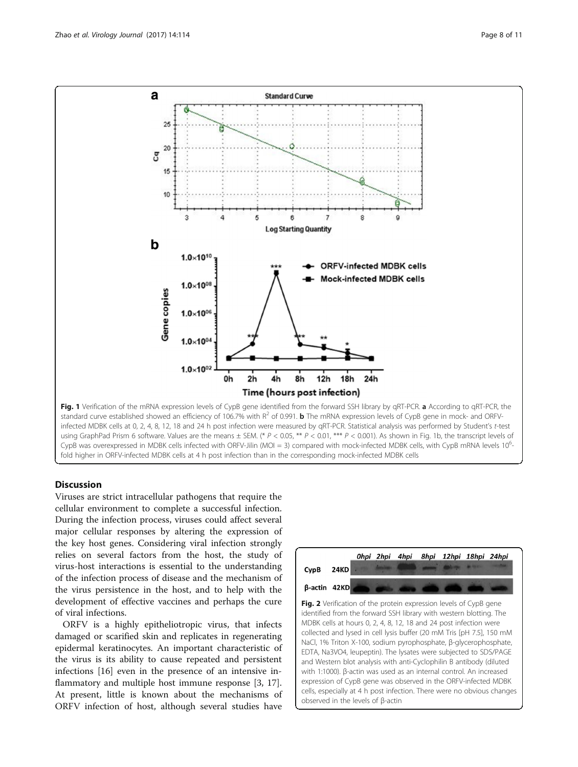<span id="page-7-0"></span>

using GraphPad Prism 6 software. Values are the means ± SEM. (\* P < 0.05, \*\* P < 0.01, \*\*\* P < 0.001). As shown in Fig. 1b, the transcript levels of CypB was overexpressed in MDBK cells infected with ORFV-Jilin (MOI = 3) compared with mock-infected MDBK cells, with CypB mRNA levels 10<sup>6</sup> fold higher in ORFV-infected MDBK cells at 4 h post infection than in the corresponding mock-infected MDBK cells

### **Discussion**

Viruses are strict intracellular pathogens that require the cellular environment to complete a successful infection. During the infection process, viruses could affect several major cellular responses by altering the expression of the key host genes. Considering viral infection strongly relies on several factors from the host, the study of virus-host interactions is essential to the understanding of the infection process of disease and the mechanism of the virus persistence in the host, and to help with the development of effective vaccines and perhaps the cure of viral infections.

ORFV is a highly epitheliotropic virus, that infects damaged or scarified skin and replicates in regenerating epidermal keratinocytes. An important characteristic of the virus is its ability to cause repeated and persistent infections [[16\]](#page-10-0) even in the presence of an intensive inflammatory and multiple host immune response [[3, 17](#page-10-0)]. At present, little is known about the mechanisms of ORFV infection of host, although several studies have

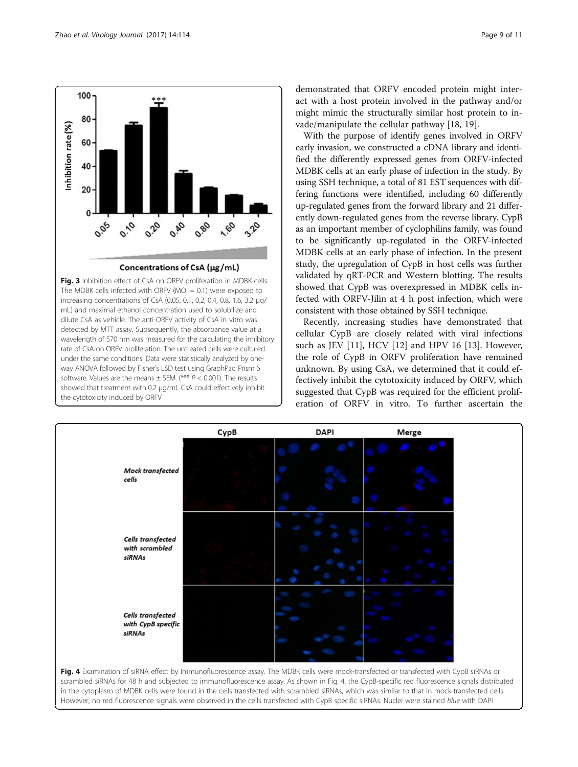<span id="page-8-0"></span>

### Concentrations of CsA (µg/mL)

Fig. 3 Inhibition effect of CsA on ORFV proliferation in MDBK cells. The MDBK cells infected with ORFV (MOI = 0.1) were exposed to increasing concentrations of CsA (0.05, 0.1, 0.2, 0.4, 0.8, 1.6, 3.2 μg/ mL) and maximal ethanol concentration used to solubilize and dilute CsA as vehicle. The anti-ORFV activity of CsA in vitro was detected by MTT assay. Subsequently, the absorbance value at a wavelength of 570 nm was measured for the calculating the inhibitory rate of CsA on ORFV proliferation. The untreated cells were cultured under the same conditions. Data were statistically analyzed by oneway ANOVA followed by Fisher's LSD test using GraphPad Prism 6 software. Values are the means  $\pm$  SEM. (\*\*\*  $P < 0.001$ ). The results showed that treatment with 0.2 μg/mL CsA could effectively inhibit the cytotoxicity induced by ORFV

demonstrated that ORFV encoded protein might interact with a host protein involved in the pathway and/or might mimic the structurally similar host protein to invade/manipulate the cellular pathway [[18, 19\]](#page-10-0).

With the purpose of identify genes involved in ORFV early invasion, we constructed a cDNA library and identified the differently expressed genes from ORFV-infected MDBK cells at an early phase of infection in the study. By using SSH technique, a total of 81 EST sequences with differing functions were identified, including 60 differently up-regulated genes from the forward library and 21 differently down-regulated genes from the reverse library. CypB as an important member of cyclophilins family, was found to be significantly up-regulated in the ORFV-infected MDBK cells at an early phase of infection. In the present study, the upregulation of CypB in host cells was further validated by qRT-PCR and Western blotting. The results showed that CypB was overexpressed in MDBK cells infected with ORFV-Jilin at 4 h post infection, which were consistent with those obtained by SSH technique.

Recently, increasing studies have demonstrated that cellular CypB are closely related with viral infections such as JEV [[11](#page-10-0)], HCV [\[12\]](#page-10-0) and HPV 16 [[13\]](#page-10-0). However, the role of CypB in ORFV proliferation have remained unknown. By using CsA, we determined that it could effectively inhibit the cytotoxicity induced by ORFV, which suggested that CypB was required for the efficient proliferation of ORFV in vitro. To further ascertain the



scrambled siRNAs for 48 h and subjected to immunofluorescence assay. As shown in Fig. 4, the CypB-specific red fluorescence signals distributed in the cytoplasm of MDBK cells were found in the cells transfected with scrambled siRNAs, which was similar to that in mock-transfected cells. However, no red fluorescence signals were observed in the cells transfected with CypB specific siRNAs. Nuclei were stained blue with DAPI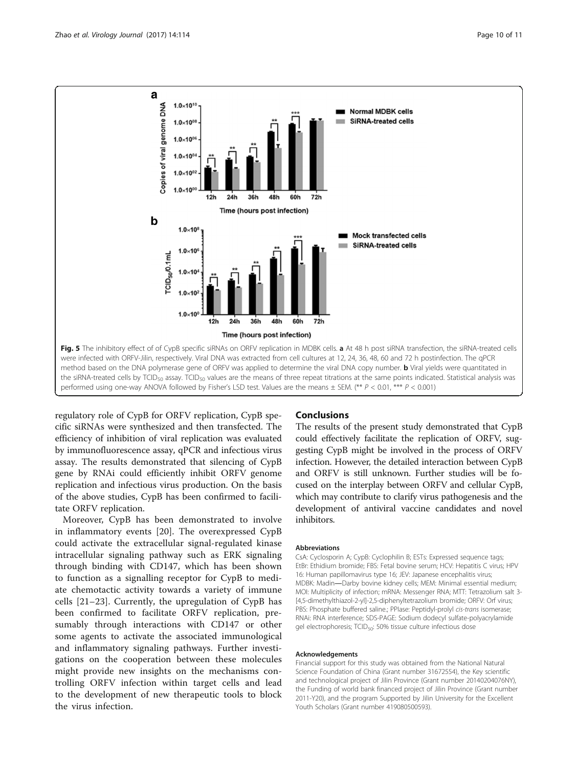<span id="page-9-0"></span>

regulatory role of CypB for ORFV replication, CypB specific siRNAs were synthesized and then transfected. The efficiency of inhibition of viral replication was evaluated by immunofluorescence assay, qPCR and infectious virus assay. The results demonstrated that silencing of CypB gene by RNAi could efficiently inhibit ORFV genome replication and infectious virus production. On the basis of the above studies, CypB has been confirmed to facilitate ORFV replication.

Moreover, CypB has been demonstrated to involve in inflammatory events [\[20](#page-10-0)]. The overexpressed CypB could activate the extracellular signal-regulated kinase intracellular signaling pathway such as ERK signaling through binding with CD147, which has been shown to function as a signalling receptor for CypB to mediate chemotactic activity towards a variety of immune cells [\[21](#page-10-0)–[23](#page-10-0)]. Currently, the upregulation of CypB has been confirmed to facilitate ORFV replication, presumably through interactions with CD147 or other some agents to activate the associated immunological and inflammatory signaling pathways. Further investigations on the cooperation between these molecules might provide new insights on the mechanisms controlling ORFV infection within target cells and lead to the development of new therapeutic tools to block the virus infection.

# Conclusions

The results of the present study demonstrated that CypB could effectively facilitate the replication of ORFV, suggesting CypB might be involved in the process of ORFV infection. However, the detailed interaction between CypB and ORFV is still unknown. Further studies will be focused on the interplay between ORFV and cellular CypB, which may contribute to clarify virus pathogenesis and the development of antiviral vaccine candidates and novel inhibitors.

#### Abbreviations

CsA: Cyclosporin A; CypB: Cyclophilin B; ESTs: Expressed sequence tags; EtBr: Ethidium bromide; FBS: Fetal bovine serum; HCV: Hepatitis C virus; HPV 16: Human papillomavirus type 16; JEV: Japanese encephalitis virus; MDBK: Madin―Darby bovine kidney cells; MEM: Minimal essential medium; MOI: Multiplicity of infection; mRNA: Messenger RNA; MTT: Tetrazolium salt 3- [4,5-dimethylthiazol-2-yl]-2,5-diphenyltetrazolium bromide; ORFV: Orf virus; PBS: Phosphate buffered saline.; PPIase: Peptidyl-prolyl cis-trans isomerase; RNAi: RNA interference; SDS-PAGE: Sodium dodecyl sulfate-polyacrylamide gel electrophoresis; TCID<sub>50</sub>: 50% tissue culture infectious dose

#### Acknowledgements

Financial support for this study was obtained from the National Natural Science Foundation of China (Grant number 31672554), the Key scientific and technological project of Jilin Province (Grant number 20140204076NY), the Funding of world bank financed project of Jilin Province (Grant number 2011-Y20), and the program Supported by Jilin University for the Excellent Youth Scholars (Grant number 419080500593).